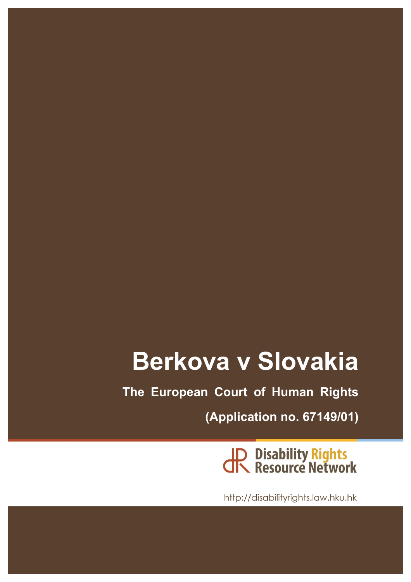# **Berkova v Slovakia**

**The European Court of Human Rights**

**(Application no. 67149/01)**

JR Disability Rights<br>JR Resource Network

http://disabilityrights.law.hku.hk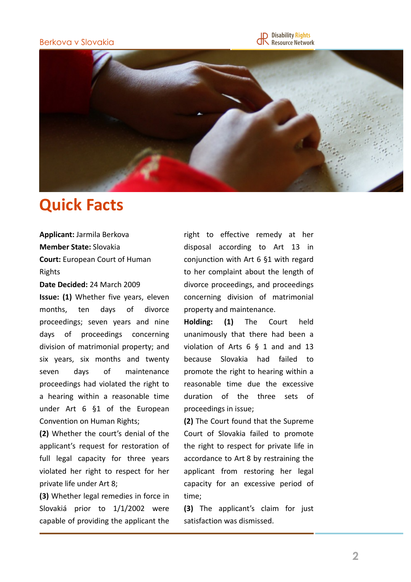### Berkova v Slovakia





### **Quick Facts**

**Applicant: Jarmila Berkova Member State:** Slovakia

**Court:** European Court of Human Rights

**Date Decided: 24 March 2009** 

**Issue:** (1) Whether five years, eleven months, ten days of divorce proceedings; seven years and nine days of proceedings concerning division of matrimonial property; and six years, six months and twenty seven days of maintenance proceedings had violated the right to a hearing within a reasonable time under  $Art 6 §1$  of the European Convention on Human Rights;

**(2)** Whether the court's denial of the applicant's request for restoration of full legal capacity for three years violated her right to respect for her private life under Art 8;

**(3)** Whether legal remedies in force in Slovakiá prior to 1/1/2002 were capable of providing the applicant the right to effective remedy at her disposal according to Art 13 in conjunction with Art  $6$  §1 with regard to her complaint about the length of divorce proceedings, and proceedings concerning division of matrimonial property and maintenance.

**Holding: (1)**  The Court held unanimously that there had been a violation of Arts  $6 \S 1$  and and  $13$ because Slovakia had failed to promote the right to hearing within a reasonable time due the excessive duration of the three sets of proceedings in issue;

**(2)** The Court found that the Supreme Court of Slovakia failed to promote the right to respect for private life in accordance to Art 8 by restraining the applicant from restoring her legal capacity for an excessive period of time;

**(3)** The applicant's claim for just satisfaction was dismissed.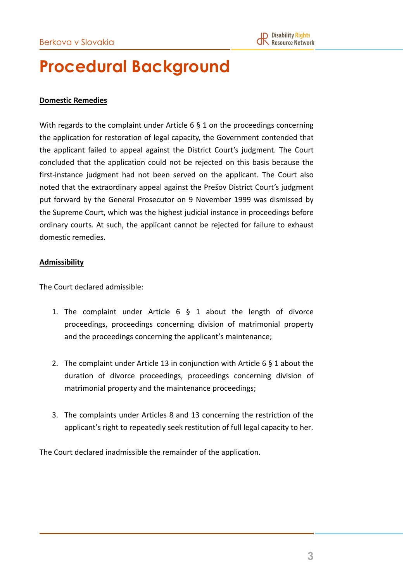## **Procedural Background**

### **Domestic Remedies**

With regards to the complaint under Article  $6 \xi$  1 on the proceedings concerning the application for restoration of legal capacity, the Government contended that the applicant failed to appeal against the District Court's judgment. The Court concluded that the application could not be rejected on this basis because the first-instance judgment had not been served on the applicant. The Court also noted that the extraordinary appeal against the Prešov District Court's judgment put forward by the General Prosecutor on 9 November 1999 was dismissed by the Supreme Court, which was the highest judicial instance in proceedings before ordinary courts. At such, the applicant cannot be rejected for failure to exhaust domestic remedies.

#### **Admissibility**

The Court declared admissible:

- 1. The complaint under Article  $6 \S 1$  about the length of divorce proceedings, proceedings concerning division of matrimonial property and the proceedings concerning the applicant's maintenance;
- 2. The complaint under Article 13 in conjunction with Article 6  $\S$  1 about the duration of divorce proceedings, proceedings concerning division of matrimonial property and the maintenance proceedings;
- 3. The complaints under Articles 8 and 13 concerning the restriction of the applicant's right to repeatedly seek restitution of full legal capacity to her.

The Court declared inadmissible the remainder of the application.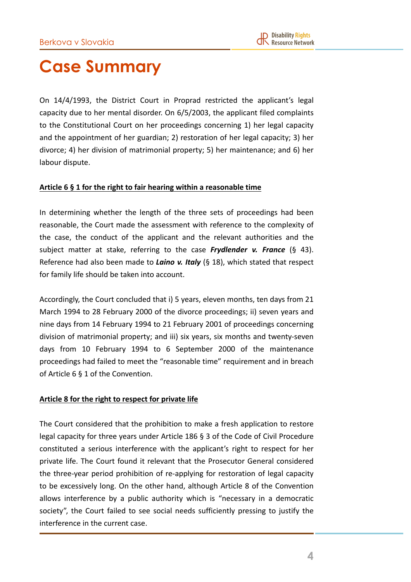## **Case Summary**

On 14/4/1993, the District Court in Proprad restricted the applicant's legal capacity due to her mental disorder. On 6/5/2003, the applicant filed complaints to the Constitutional Court on her proceedings concerning 1) her legal capacity and the appointment of her guardian; 2) restoration of her legal capacity; 3) her divorce; 4) her division of matrimonial property; 5) her maintenance; and 6) her labour dispute.

#### Article 6 § 1 for the right to fair hearing within a reasonable time

In determining whether the length of the three sets of proceedings had been reasonable, the Court made the assessment with reference to the complexity of the case, the conduct of the applicant and the relevant authorities and the subject matter at stake, referring to the case *Frydlender v. France* (§ 43). Reference had also been made to *Laino v. Italy* (§ 18), which stated that respect for family life should be taken into account.

Accordingly, the Court concluded that i) 5 years, eleven months, ten days from 21 March 1994 to 28 February 2000 of the divorce proceedings; ii) seven years and nine days from 14 February 1994 to 21 February 2001 of proceedings concerning division of matrimonial property; and iii) six years, six months and twenty-seven days from 10 February 1994 to 6 September 2000 of the maintenance proceedings had failed to meet the "reasonable time" requirement and in breach of Article  $6 \nvert 6 \nvert 1$  of the Convention.

#### Article 8 for the right to respect for private life

The Court considered that the prohibition to make a fresh application to restore legal capacity for three years under Article  $186$  § 3 of the Code of Civil Procedure constituted a serious interference with the applicant's right to respect for her private life. The Court found it relevant that the Prosecutor General considered the three-year period prohibition of re-applying for restoration of legal capacity to be excessively long. On the other hand, although Article 8 of the Convention allows interference by a public authority which is "necessary in a democratic society", the Court failed to see social needs sufficiently pressing to justify the interference in the current case.